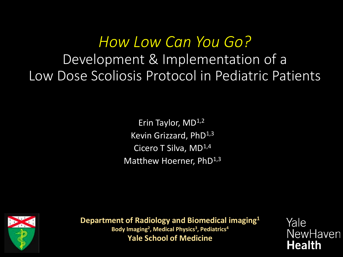*How Low Can You Go?*  Development & Implementation of a Low Dose Scoliosis Protocol in Pediatric Patients

> Erin Taylor,  $MD<sup>1,2</sup>$ Kevin Grizzard, PhD<sup>1,3</sup> Cicero T Silva, MD<sup>1,4</sup> Matthew Hoerner, PhD<sup>1,3</sup>



**Department of Radiology and Biomedical imaging1** Body Imaging<sup>2</sup>, Medical Physics<sup>3</sup>, Pediatrics<sup>4</sup> **Yale School of Medicine**

Yale **NewHaven Health**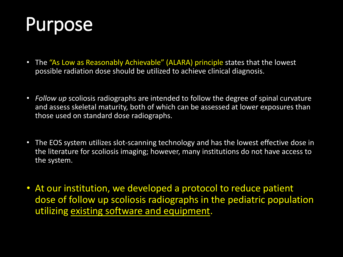# Purpose

- The "As Low as Reasonably Achievable" (ALARA) principle states that the lowest possible radiation dose should be utilized to achieve clinical diagnosis.
- *Follow up* scoliosis radiographs are intended to follow the degree of spinal curvature and assess skeletal maturity, both of which can be assessed at lower exposures than those used on standard dose radiographs.
- The EOS system utilizes slot-scanning technology and has the lowest effective dose in the literature for scoliosis imaging; however, many institutions do not have access to the system.
- At our institution, we developed a protocol to reduce patient dose of follow up scoliosis radiographs in the pediatric population utilizing existing software and equipment.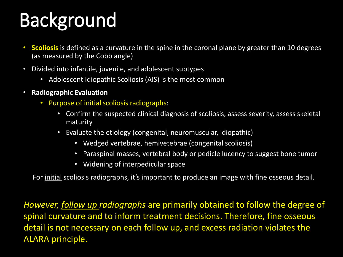# Background

- Scoliosis is defined as a curvature in the spine in the coronal plane by greater than 10 degrees (as measured by the Cobb angle)
- Divided into infantile, juvenile, and adolescent subtypes
	- Adolescent Idiopathic Scoliosis (AIS) is the most common
- **Radiographic Evaluation**
	- Purpose of initial scoliosis radiographs:
		- Confirm the suspected clinical diagnosis of scoliosis, assess severity, assess skeletal maturity
		- Evaluate the etiology (congenital, neuromuscular, idiopathic)
			- Wedged vertebrae, hemivetebrae (congenital scoliosis)
			- Paraspinal masses, vertebral body or pedicle lucency to suggest bone tumor
			- Widening of interpedicular space

For initial scoliosis radiographs, it's important to produce an image with fine osseous detail.

*However, follow up radiographs* are primarily obtained to follow the degree of spinal curvature and to inform treatment decisions. Therefore, fine osseous detail is not necessary on each follow up, and excess radiation violates the ALARA principle.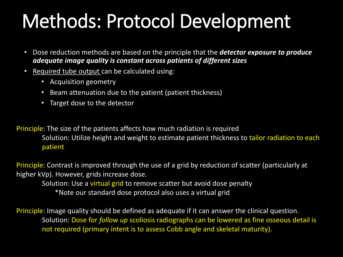# Methods: Protocol Development

- Dose reduction methods are based on the principle that the *detector exposure to produce adequate image quality is constant across patients of different sizes*
- Required tube output can be calculated using:
	- Acquisition geometry
	- Beam attenuation due to the patient (patient thickness)
	- Target dose to the detector

Principle: The size of the patients affects how much radiation is required Solution: Utilize height and weight to estimate patient thickness to tailor radiation to each patient

Principle: Contrast is improved through the use of a grid by reduction of scatter (particularly at higher kVp). However, grids increase dose. Solution: Use a virtual grid to remove scatter but avoid dose penalty \*Note our standard dose protocol also uses a virtual grid

Principle: Image quality should be defined as adequate if it can answer the clinical question. Solution: Dose for *follow up* scoliosis radiographs can be lowered as fine osseous detail is not required (primary intent is to assess Cobb angle and skeletal maturity).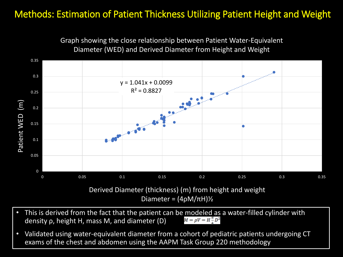### Methods: Estimation of Patient Thickness Utilizing Patient Height and Weight



Graph showing the close relationship between Patient Water-Equivalent Diameter (WED) and Derived Diameter from Height and Weight

- This is derived from the fact that the patient can be modeled as a water-filled cylinder with density of height H mass M and diameter  $(D)$   $M = \rho V = H^{\pi} D^2$ density ρ, height H, mass M, and diameter (D)
- Validated using water-equivalent diameter from a cohort of pediatric patients undergoing CT exams of the chest and abdomen using the AAPM Task Group 220 methodology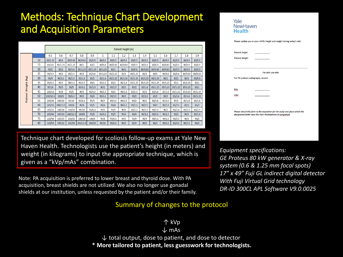### Methods: Technique Chart Development and Acquisition Parameters

|         |    | Patient Height (m) |          |          |          |         |         |         |         |         |         |         |         |         |         |         |
|---------|----|--------------------|----------|----------|----------|---------|---------|---------|---------|---------|---------|---------|---------|---------|---------|---------|
|         |    | 0.5                | 0.6      | 0.7      | 0.8      | 0.9     | 1       | 1.1     | 1.2     | 1.3     | 1.4     | 1.5     | 1.6     | 1.7     | 1.8     | 1.9     |
|         | 10 | 80/1.25            | 80/1     | 80/0.63  | 80/0.63  | 80/0.5  | 80/0.5  | 80/0.5  | 80/0.5  | 80/0.5  | 80/0.5  | 80/0.5  | 80/0.5  | 80/0.5  | 80/0.5  | 80/0.5  |
|         | 15 | 85/1.6             | 85/1.25  | 85/1.25  | 80/1     | 80/1    | 80/0.8  | 80/0.63 | 80/0.63 | 80/0.5  | 80/0.5  | 80/0.5  | 80/0.63 | 80/0.5  | 80/0.5  | 80/0.5  |
|         | 20 | 90/2               | 85/2     | 85/1.6   | 85/1.25  | 85/1.25 | 80/1.25 | 80/1    | 80/1    | 80/0.8  | 80/0.63 | 80/0.63 | 80/0.63 | 80/0.5  | 80/0.5  | 80/0.5  |
|         | 25 | 90/3.2             | 90/2     | 85/2.5   | 85/2     | 85/1.6  | 85/1.25 | 85/1.25 | 85/1    | 80/1.25 | 80/1    | 80/1    | 80/0.8  | 80/0.8  | 80/0.63 | 80/0.63 |
| (kg)    | 30 | 95/4               | 90/3.2   | 90/2.5   | 90/1.6   | 85/2    | 85/1.6  | 85/1.25 | 85/1.25 | 85/1.25 | 85/1.25 | 80/1.25 | 80/1    | 80/1    | 80/1    | 80/0.8  |
|         | 35 | 95/6.3             | 95/4     | 90/3.2   | 90/2.5   | 90/2    | 85/2.5  | 85/2    | 85/1.6  | 85/1.25 | 85/1.25 | 85/1.25 | 85/1.25 | 85/1    | 80/1.25 | 80/1    |
| Weight  | 40 | 95/10              | 95/5     | 90/5     | 90/3.2   | 90/2.5  | 90/2    | 85/2.5  | 85/2    | 85/2    | 85/1.6  | 85/1.25 | 85/1.25 | 85/1.25 | 85/1.25 | 85/1    |
|         | 45 | 100/10             | 95/8     | 95/5     | 90/5     | 90/3.2  | 90/2.5  | 90/2    | 90/1.6  | 85/2.5  | 85/2    | 85/1.6  | 85/1.6  | 85/1.25 | 85/1.25 | 85/1.25 |
| Patient | 50 | 100/12.5           | 100/8    | 95/6.3   | 95/5     | 90/4    | 90/3.2  | 90/2.5  | 90/2    | 90/2    | 85/2.5  | 85/2    | 85/2    | 85/1.6  | 85/1.6  | 85/1.25 |
|         | 55 | 100/20             | 100/10   | 95/10    | 95/6.3   | 95/4    | 90/4    | 90/3.2  | 90/2.5  | 90/2    | 90/2    | 90/1.6  | 85/2.5  | 85/2    | 85/1.6  | 85/1.6  |
|         | 60 | 105/25             | 100/12.5 | 100/8    | 95/8     | 95/5    | 95/4    | 90/4    | 90/3.2  | 90/2.5  | 90/2.5  | 90/2    | 90/1.6  | 85/2.5  | 85/2    | 85/2    |
|         | 65 | 105/32             | 100/16   | 100/10   | 95/10    | 95/6.3  | 95/5    | 95/5    | 90/4    | 90/3.2  | 90/2.5  | 90/2.5  | 90/2    | 90/1.6  | 85/2.5  | 85/2.5  |
|         | 70 | 105/40             | 105/20   | 100/12.5 | 100/8    | 95/8    | 95/6.3  | 95/5    | 95/4    | 90/4    | 90/3.2  | 90/2.5  | 90/2.5  | 90/2    | 90/2    | 90/1.6  |
|         | 75 | 110/40             | 105/25   | 100/16   | 100/10   | 100/8   | 95/8    | 95/6.3  | 95/5    | 95/4    | 90/4    | 90/3.2  | 90/2.5  | 90/2.5  | 90/2    | 90/2    |
|         | 80 | 110/50             | 105/32   | 105/20   | 100/12.5 | 100/10  | 95/10   | 95/6.3  | 95/5    | 95/4    | 90/5    | 90/4    | 90/3.2  | 90/3.2  | 90/2.5  | 90/2    |

Technique chart developed for scoliosis follow-up exams at Yale New Haven Health. Technologists use the patient's height (in meters) and weight (in kilograms) to input the appropriate technique, which is given as a "kVp/mAs" combination.

Note: PA acquisition is preferred to lower breast and thyroid dose. With PA acquisition, breast shields are not utilized. We also no longer use gonadal shields at our institution, unless requested by the patient and/or their family.

#### NewHaven **Health** Please update you or your child's height and weight during today's visit. **Patient Height Patient Weight** For tech use only For PA scoliosis radiographs, record: kVp mAs Please attach this form to the requisition for the study and place within the designated folder near the Tech Workstations at Longwharf.

Yale

*Equipment specifications: GE Proteus 80 kW generator & X-ray system (0.6 & 1.25 mm focal spots) 17" x 49" Fuji GL indirect digital detector With Fuji Virtual Grid technology DR-ID 300CL APL Software V9.0.0025*

#### Summary of changes to the protocol

### ↑ kVp

↓ mAs

 $\downarrow$  total output, dose to patient, and dose to detector **\* More tailored to patient, less guesswork for technologists.**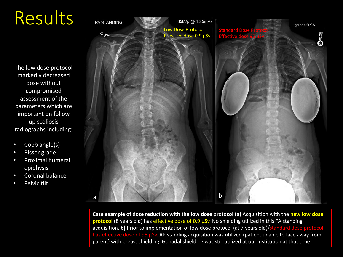# Results



**Case example of dose reduction with the low dose protocol (a)** Acquisition with the **new low dose protocol (**8 years old) has effective dose of 0.9 µSv. No shielding utilized in this PA standing acquisition. **b)** Prior to implementation of low dose protocol (at 7 years old)/standard dose protocol has effective dose of 95 µSv. AP standing acquisition was utilized (patient unable to face away from parent) with breast shielding. Gonadal shielding was still utilized at our institution at that time.

The low dose protocol markedly decreased dose without compromised assessment of the parameters which are important on follow up scoliosis radiographs including:

Would like

- Cobb angle(s)
- Risser grade
- Proximal humeral epiphysis
- Coronal balance
- Pelvic tilt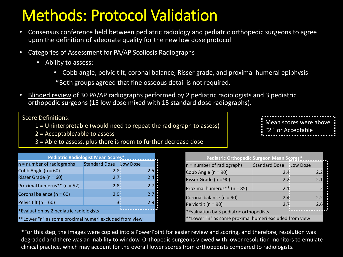## Methods: Protocol Validation

- Consensus conference held between pediatric radiology and pediatric orthopedic surgeons to agree upon the definition of adequate quality for the new low dose protocol
- Categories of Assessment for PA/AP Scoliosis Radiographs
	- Ability to assess:
		- Cobb angle, pelvic tilt, coronal balance, Risser grade, and proximal humeral epiphysis

\*Both groups agreed that fine osseous detail is not required.

• Blinded review of 30 PA/AP radiographs performed by 2 pediatric radiologists and 3 pediatric orthopedic surgeons (15 low dose mixed with 15 standard dose radiographs).

Score Definitions:

- 1 = Uninterpretable (would need to repeat the radiograph to assess)
- 2 = Acceptable/able to assess
- 3 = Able to assess, plus there is room to further decrease dose

| <b>Pediatric Radiologist Mean Scores*</b>              |                               |     |  |  |  |  |
|--------------------------------------------------------|-------------------------------|-----|--|--|--|--|
| $n =$ number of radiographs                            | <b>Standard Dose Low Dose</b> |     |  |  |  |  |
| Cobb Angle $(n = 60)$                                  | 2.8                           | 2.5 |  |  |  |  |
| Risser Grade ( $n = 60$ )                              | 2.7 <sup>°</sup>              | 2.4 |  |  |  |  |
| Proximal humerus** (n = 52)                            | $2.8^{\circ}$                 | 2.7 |  |  |  |  |
| Coronal balance (n = 60)                               | 2.9 <sub>1</sub>              | 2.7 |  |  |  |  |
| Pelvic tilt ( $n = 60$ )                               |                               | 2.q |  |  |  |  |
| *Evaluation by 2 pediatric radiologists                |                               |     |  |  |  |  |
| **Lower "n" as some proximal humeri excluded from view |                               |     |  |  |  |  |

| Pediatric Orthopedic Surgeon Mean Scores*              |                               |     |  |  |  |  |  |
|--------------------------------------------------------|-------------------------------|-----|--|--|--|--|--|
| $n =$ number of radiographs                            | <b>Standard Dose Low Dose</b> |     |  |  |  |  |  |
| Cobb Angle $(n = 90)$                                  | $2.4^{\circ}$                 | 2.2 |  |  |  |  |  |
| Risser Grade ( $n = 90$ )                              | $2.2^{\circ}$                 | 2.1 |  |  |  |  |  |
| Proximal humerus** (n = 85)                            | $2.1^{\circ}$                 |     |  |  |  |  |  |
| Coronal balance (n = 90)                               | 2.4                           | 2.2 |  |  |  |  |  |
| Pelvic tilt (n = 90)                                   | $2.7^{\circ}$                 | 2.6 |  |  |  |  |  |
| *Evaluation by 3 pediatric orthopedists                |                               |     |  |  |  |  |  |
| **Lower "n" as some proximal humeri excluded from view |                               |     |  |  |  |  |  |

\*For this step, the images were copied into a PowerPoint for easier review and scoring, and therefore, resolution was degraded and there was an inability to window. Orthopedic surgeons viewed with lower resolution monitors to emulate clinical practice, which may account for the overall lower scores from orthopedists compared to radiologists.

Mean scores were above "2" or Acceptable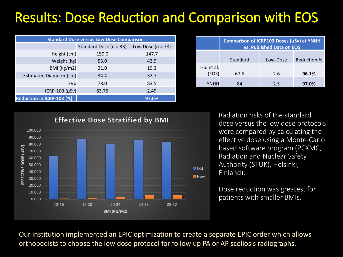### Results: Dose Reduction and Comparison with EOS

| <b>Standard Dose versus Low Dose Comparison</b> |                        |                       |  |  |  |  |
|-------------------------------------------------|------------------------|-----------------------|--|--|--|--|
|                                                 | Standard Dose (n = 33) | Low Dose ( $n = 78$ ) |  |  |  |  |
| Height (cm)                                     | 159.0                  | 147.7                 |  |  |  |  |
| Weight (kg)                                     | 53.0                   | 43.9                  |  |  |  |  |
| BMI (kg/m2)                                     | 21.0                   | 19.3                  |  |  |  |  |
| Estimated Diameter (cm)                         | 34.4                   | 32.7                  |  |  |  |  |
| kVp                                             | 78.0                   | 83.5                  |  |  |  |  |
| ICRP-103 $(\mu Sv)$                             | 83.75                  | 2.49                  |  |  |  |  |
| Reduction in ICRP-103 (%)                       |                        | 97.0%                 |  |  |  |  |

|                     | Comparison of ICRP103 Doses (µSv) at YNHH<br>vs. Published Data on EOS |          |                    |  |  |  |  |  |
|---------------------|------------------------------------------------------------------------|----------|--------------------|--|--|--|--|--|
|                     | Standard                                                               | Low-Dose | <b>Reduction %</b> |  |  |  |  |  |
| Hui et al.<br>(EOS) | 67.5                                                                   | 2.6      | 96.1%              |  |  |  |  |  |
| <b>YNHH</b>         | 84                                                                     | 2.5      | 97.0%              |  |  |  |  |  |



Radiation risks of the standard dose versus the low dose protocols were compared by calculating the effective dose using a Monte-Carlo based software program (PCXMC, Radiation and Nuclear Safety Authority (STUK), Helsinki, Finland).

Dose reduction was greatest for

Our institution implemented an EPIC optimization to create a separate EPIC order which allows orthopedists to choose the low dose protocol for follow up PA or AP scoliosis radiographs.